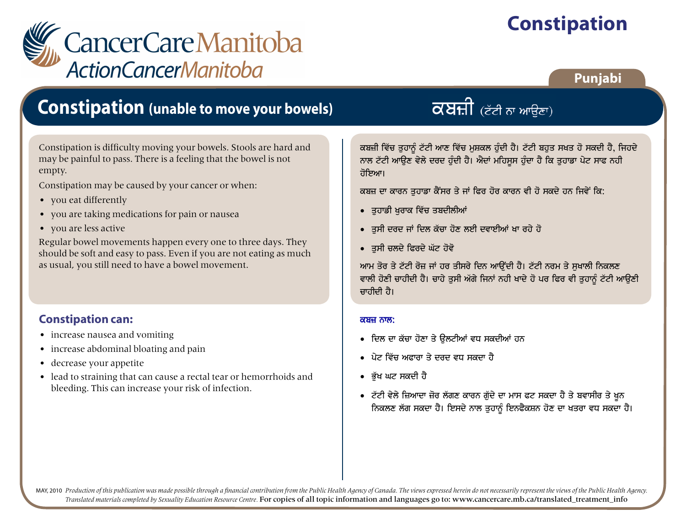# **Constipation**



### Punjabi

### **Constipation (unable to move your bowels)**

Constipation is difficulty moving your bowels. Stools are hard and may be painful to pass. There is a feeling that the bowel is not empty.

Constipation may be caused by your cancer or when:

- you eat differently
- you are taking medications for pain or nausea
- you are less active

Regular bowel movements happen every one to three days. They should be soft and easy to pass. Even if you are not eating as much as usual, you still need to have a bowel movement.

#### **Constipation can:**

- increase nausea and vomiting
- increase abdominal bloating and pain
- decrease your appetite
- lead to straining that can cause a rectal tear or hemorrhoids and bleeding. This can increase your risk of infection.

ਕਬਜ਼ੀ ਵਿੱਚ ਤਹਾਨੂੰ ਟੱਟੀ ਆਣ ਵਿੱਚ ਮਸ਼ਕਲ ਹੰਦੀ ਹੈ। ਟੱਟੀ ਬਹਤ ਸਖਤ ਹੋ ਸਕਦੀ ਹੈ, ਜਿਹਦੇ ਨਾਲ ਟੱਟੀ ਆਉਣ ਵੇਲੇ ਦਰਦ ਹੁੰਦੀ ਹੈ। ਐਦਾਂ ਮਹਿਸੂਸ ਹੁੰਦਾ ਹੈ ਕਿ ਤੁਹਾਡਾ ਪੇਟ ਸਾਫ ਨਹੀ ਹੋਇਆ।

 $\overline{\alpha}$ ਬਜ਼ੀ (ਟੱਟੀ ਨਾ ਆਉਣਾ)

ਕਬਜ਼ ਦਾ ਕਾਰਨ ਤਹਾਡਾ ਕੈਂਸਰ ਤੇ ਜਾਂ ਫਿਰ ਹੋਰ ਕਾਰਨ ਵੀ ਹੋ ਸਕਦੇ ਹਨ ਜਿਵੇਂ ਕਿ:

- ਤਹਾਡੀ ਖਰਾਕ ਵਿੱਚ ਤਬਦੀਲੀਆਂ
- ਤਸੀ ਦਰਦ ਜਾਂ ਦਿਲ ਕੱਚਾ ਹੋਣ ਲਈ ਦਵਾਈਆਂ ਖਾ ਰਹੇ ਹੋ
- ਤਸੀ ਚਲਦੇ ਫਿਰਦੇ ਘੱਟ ਹੋਵੋ

ਆਮ ਤੋਰ ਤੇ ਟੱਟੀ ਰੋਜ਼ ਜਾਂ ਹਰ ਤੀਸਰੇ ਦਿਨ ਆਉਂਦੀ ਹੈ। ਟੱਟੀ ਨਰਮ ਤੇ ਸਖਾਲੀ ਨਿਕਲਣ ਵਾਲੀ ਹੋਣੀ ਚਾਹੀਦੀ ਹੈ। ਚਾਹੇ ਤੁਸੀ ਅੱਗੇ ਜਿਨਾਂ ਨਹੀ ਖਾਦੇ ਹੋ ਪਰ ਫਿਰ ਵੀ ਤੁਹਾਨੂੰ ਟੱਟੀ ਆਉਣੀ ਜਾਰੀਦੀ ਹੈ।

#### ਕਬਜ਼ ਨਾਲ:

- ਦਿਲ ਦਾ ਕੱਚਾ ਹੋਣਾ ਤੇ ਉਲਟੀਆਂ ਵਧ ਸਕਦੀਆਂ ਹਨ
- ਪੇਟ ਵਿੱਚ ਅਫ਼ਾਰਾ ਤੇ ਦਰਦ ਵਧ ਸਕਦਾ ਹੈ
- ਭੱਖ ਘਟ ਸਕਦੀ ਹੈ
- ਟੱਟੀ ਵੇਲੇ ਜ਼ਿਆਦਾ ਜ਼ੋਰ ਲੱਗਣ ਕਾਰਨ ਗੁੱਦੇ ਦਾ ਮਾਸ ਫਟ ਸਕਦਾ ਹੈ ਤੇ ਬਵਾਸੀਰ ਤੇ ਖੁਨ ਨਿਕਲਣ ਲੱਗ ਸਕਦਾ ਹੈ। ਇਸਦੇ ਨਾਲ ਤੁਹਾਨੂੰ ਇਨਫੈਕਸ਼ਨ ਹੋਣ ਦਾ ਖਤਰਾ ਵਧ ਸਕਦਾ ਹੈ।

MAY, 2010 Production of this publication was made possible through a financial contribution from the Public Health Agency of Canada. The views expressed herein do not necessarily represent the views of the Public Health Ag Translated materials completed by Sexuality Education Resource Centre. For copies of all topic information and languages go to: www.cancercare.mb.ca/translated treatment info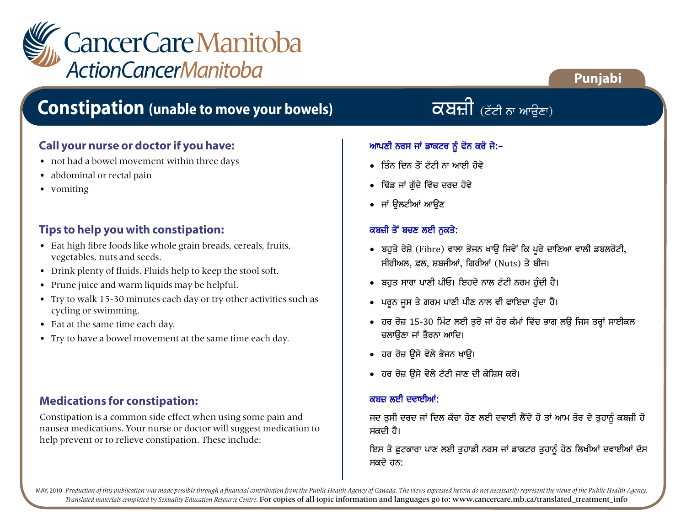

### **Constipation (unable to move your bowels)**

#### **Call your nurse or doctor if you have:**

- not had a bowel movement within three days
- abdominal or rectal pain
- vomiting

#### **Tips to help you with constipation:**

- Eat high fibre foods like whole grain breads, cereals, fruits, vegetables, nuts and seeds.
- Drink plenty of fluids. Fluids help to keep the stool soft.
- Prune juice and warm liquids may be helpful.
- Try to walk 15-30 minutes each day or try other activities such as cycling or swimming.
- Eat at the same time each day.
- Try to have a bowel movement at the same time each day.

#### **Medications for constipation:**

Constipation is a common side effect when using some pain and nausea medications. Your nurse or doctor will suggest medication to help prevent or to relieve constipation. These include:

 $\overline{\alpha}$ ਬਜ਼ੀ (ਟੱਟੀ ਨਾ ਆਉਣਾ)

**Punjabi**

#### ਆਪਣੀ ਨਰਸ ਜਾਂ ਡਾਕਟਰ ਨੂੰ ਫੋਨ ਕਰੋ ਜੇ:-

- $\bullet$  ਤਿੰਨ ਦਿਨ ਤੋਂ ਟੱਟੀ ਨਾ ਆਈ ਹੋਵੇ
- ਢਿੱਡ ਜਾਂ ਗੱਦੇ ਵਿੱਚ ਦਰਦ ਹੋਵੇ
- $\bullet$  ਜਾਂ ਉਲਟੀਆਂ ਆਉਣ

#### ਕਬਜ਼ੀ ਤੋਂ ਬਚਣ ਲਈ ਨਕਤੇ:

- ਬਹੁਤੇ ਰੇਸ਼ੇ (Fibre) ਵਾਲਾ ਭੋਜਨ ਖਾਊ ਜਿਵੇਂ ਕਿ ਪੂਰੇ ਦਾਣਿਆ ਵਾਲੀ ਡਬਲਰੋਟੀ, ਸੀਰੀਅਲ, ਫ਼ਲ, ਸ਼ਬਜੀਆਂ, ਗਿਰੀਆਂ (Nuts) ਤੇ ਬੀਜ।
- ਬਹੁਤ ਸਾਰਾ ਪਾਣੀ ਪੀਓ। ਇਹਦੇ ਨਾਲ ਟੱਟੀ ਨਰਮ ਹੁੰਦੀ ਹੈ।
- ਪਰੁਨ ਜੁਸ ਤੇ ਗਰਮ ਪਾਣੀ ਪੀਣ ਨਾਲ ਵੀ ਫਾਇਦਾ ਹੁੰਦਾ ਹੈ।
- ਹਰ ਰੋਜ਼ 15‐30 ਮਿੰਟ ਲਈ ਤੁਰੋ ਜਾਂ ਹੋਰ ਕੰਮਾਂ ਵਿੱਚ ਭਾਗ ਲਉ ਜਿਸ ਤਰ੍ਹਾਂ ਸਾਈਕਲ ਚਲਾੳਣਾ ਜਾਂ ਤੈਰਨਾ ਆਦਿ।
- ਹਰ ਰੋਜ਼ ੳਸੇ ਵੇਲੇ ਭੋਜਨ ਖਾੳ।
- ਹਰ ਰੋਜ਼ ੳਸੇ ਵੇਲੇ ਟੱਟੀ ਜਾਣ ਦੀ ਕੋਸ਼ਿਸ ਕਰੋ।

#### ਕਬਜ਼ ਲਈ ਦਵਾਈਆਂ:

ਜਦ ਤੁਸੀ ਦਰਦ ਜਾਂ ਦਿਲ ਕੱਚਾ ਹੋਣ ਲਈ ਦਵਾਈ ਲੈਂਦੇ ਹੋ ਤਾਂ ਆਮ ਤੋਰ ਦੇ ਤੁਹਾਨੂੰ ਕਬਜ਼ੀ ਹੋ ਸਕਦੀ ਹੈ।

ਇਸ ਤੋ ਛੁਟਕਾਰਾ ਪਾਣ ਲਈ ਤੁਹਾਡੀ ਨਰਸ ਜਾਂ ਡਾਕਟਰ ਤੁਹਾਨੂੰ ਹੇਠ ਲਿਖੀਆਂ ਦਵਾਈਆਂ ਦੱਸ ਸਕਦੇ ਹਨ:

MAY, 2010 Production of this publication was made possible through a financial contribution from the Public Health Agency of Canada. The views expressed herein do not necessarily represent the views of the Public Health Ag *Translated materials completed by Sexuality Education Resource Centre.* For copies of all topic information and languages go to: www.cancercare.mb.ca/translated\_treatment\_info